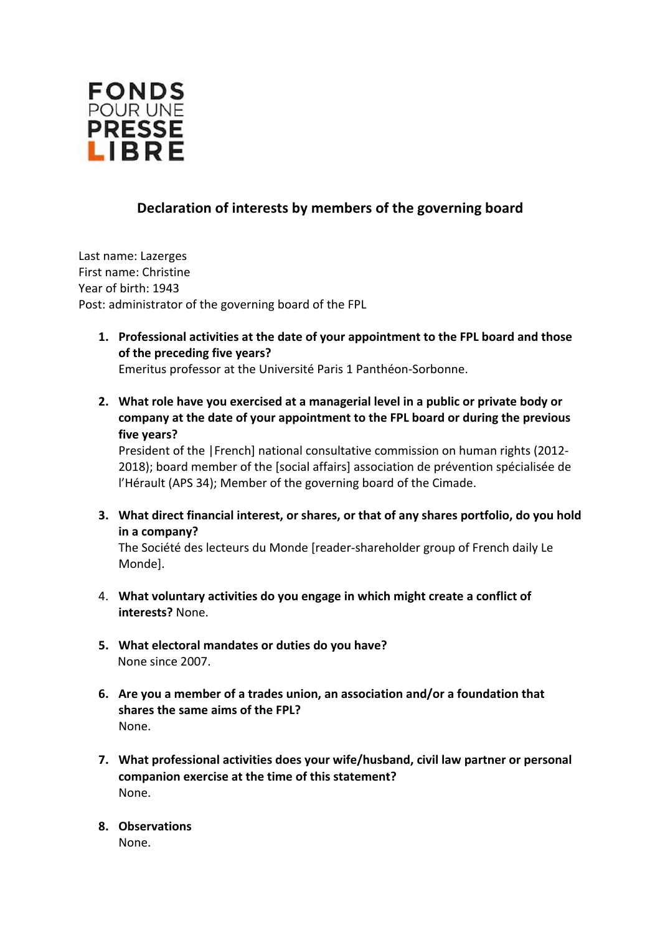

## **Declaration of interests by members of the governing board**

Last name: Lazerges First name: Christine Year of birth: 1943 Post: administrator of the governing board of the FPL

**1. Professional activities at the date of your appointment to the FPL board and those of the preceding five years?** 

Emeritus professor at the Université Paris 1 Panthéon-Sorbonne.

**2. What role have you exercised at a managerial level in a public or private body or company at the date of your appointment to the FPL board or during the previous five years?** 

President of the |French] national consultative commission on human rights (2012- 2018); board member of the [social affairs] association de prévention spécialisée de l'Hérault (APS 34); Member of the governing board of the Cimade.

**3. What direct financial interest, or shares, or that of any shares portfolio, do you hold in a company?** 

The Société des lecteurs du Monde [reader-shareholder group of French daily Le Monde].

- 4. **What voluntary activities do you engage in which might create a conflict of interests?** None.
- **5. What electoral mandates or duties do you have?**  None since 2007.
- **6. Are you a member of a trades union, an association and/or a foundation that shares the same aims of the FPL?**  None.
- **7. What professional activities does your wife/husband, civil law partner or personal companion exercise at the time of this statement?**  None.
- **8. Observations** None.